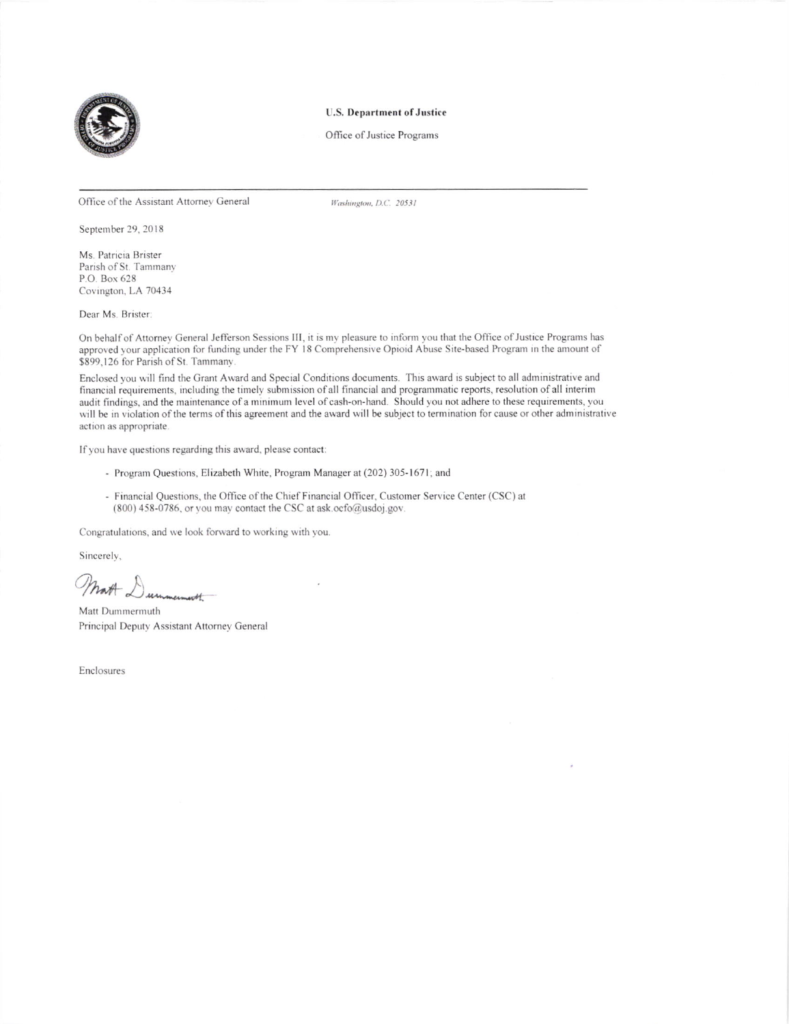

## **U.S. Department of Justice**

Office of Justice Programs

Office of the Assistant Attorney General

Washington, D.C. 20531

September 29, 2018

Ms. Patricia Brister Parish of St. Tammany P.O. Box 628 Covington, LA 70434

Dear Ms. Brister:

On behalf of Attorney General Jefferson Sessions III, it is my pleasure to inform you that the Office of Justice Programs has approved your application for funding under the FY 18 Comprehensive Opioid Abuse Site-based Program in the amount of \$899,126 for Parish of St. Tammany

Enclosed you will find the Grant Award and Special Conditions documents. This award is subject to all administrative and financial requirements, including the timely submission of all financial and programmatic reports, resolution of all interim audit findings, and the maintenance of a minimum level of cash-on-hand. Should you not adhere to these requirements, you will be in violation of the terms of this agreement and the award will be subject to termination for cause or other administrative action as appropriate.

If you have questions regarding this award, please contact:

- Program Questions, Elizabeth White, Program Manager at (202) 305-1671; and
- Financial Questions, the Office of the Chief Financial Officer, Customer Service Center (CSC) at (800) 458-0786, or you may contact the CSC at ask.ocfo@usdoj.gov.

Congratulations, and we look forward to working with you.

Sincerely.

Moth Durnmermouth

Matt Dummermuth Principal Deputy Assistant Attorney General

Enclosures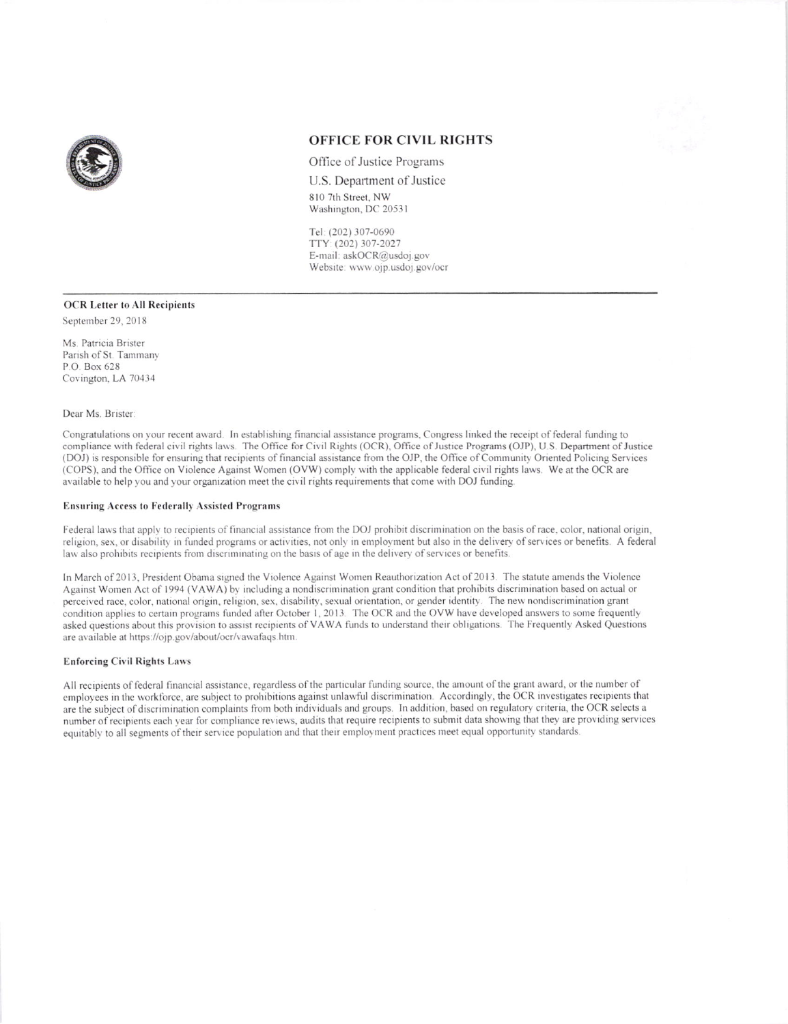

# **OFFICE FOR CIVIL RIGHTS**

Office of Justice Programs

U.S. Department of Justice 810 7th Street, NW Washington, DC 20531

Tel: (202) 307-0690 TTY: (202) 307-2027 E-mail: askOCR@usdoj.gov Website: www.ojp.usdoj.gov/ocr

# **OCR Letter to All Recipients**

September 29, 2018

Ms. Patricia Brister Parish of St. Tammany P.O. Box 628 Covington, LA 70434

Dear Ms. Brister:

Congratulations on your recent award. In establishing financial assistance programs, Congress linked the receipt of federal funding to compliance with federal civil rights laws. The Office for Civil Rights (OCR), Office of Justice Programs (OJP), U.S. Department of Justice (DOJ) is responsible for ensuring that recipients of financial assistance from the OJP, the Office of Community Oriented Policing Services (COPS), and the Office on Violence Against Women (OVW) comply with the applicable federal civil rights laws. We at the OCR are available to help you and your organization meet the civil rights requirements that come with DOJ funding.

#### **Ensuring Access to Federally Assisted Programs**

Federal laws that apply to recipients of financial assistance from the DOJ prohibit discrimination on the basis of race, color, national origin, religion, sex, or disability in funded programs or activities, not only in employment but also in the delivery of services or benefits. A federal law also prohibits recipients from discriminating on the basis of age in the delivery of services or benefits.

In March of 2013, President Obama signed the Violence Against Women Reauthorization Act of 2013. The statute amends the Violence Against Women Act of 1994 (VAWA) by including a nondiscrimination grant condition that prohibits discrimination based on actual or perceived race, color, national origin, religion, sex, disability, sexual orientation, or gender identity. The new nondiscrimination grant condition applies to certain programs funded after October 1, 2013. The OCR and the OVW have developed answers to some frequently asked questions about this provision to assist recipients of VAWA funds to understand their obligations. The Frequently Asked Questions are available at https://ojp.gov/about/ocr/vawafaqs.htm.

## **Enforcing Civil Rights Laws**

All recipients of federal financial assistance, regardless of the particular funding source, the amount of the grant award, or the number of employees in the workforce, are subject to prohibitions against unlawful discrimination. Accordingly, the OCR investigates recipients that are the subject of discrimination complaints from both individuals and groups. In addition, based on regulatory criteria, the OCR selects a number of recipients each year for compliance reviews, audits that require recipients to submit data showing that they are providing services equitably to all segments of their service population and that their employment practices meet equal opportunity standards.